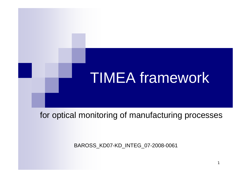# TIMEA framework

for optical monitoring of manufacturing processes

BAROSS\_KD07-KD\_INTEG\_07-2008-0061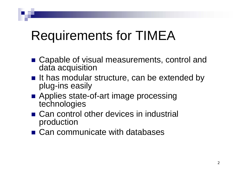# Requirements for TIMEA

- Capable of visual measurements, control and data acquisition
- It has modular structure, can be extended by plug-ins easily
- Applies state-of-art image processing technologies
- Can control other devices in industrial production
- Can communicate with databases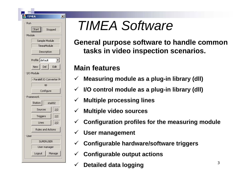| <b>TIMEA</b>              |                   | $\mathbf{x}$ |  |  |  |
|---------------------------|-------------------|--------------|--|--|--|
| Run<br>[Start]            | Stopped           |              |  |  |  |
| Module                    |                   |              |  |  |  |
| Sample Module             |                   |              |  |  |  |
|                           | TimeaModule       |              |  |  |  |
| Description               |                   |              |  |  |  |
| Profile default           |                   |              |  |  |  |
| New.<br>Del               | Edit              |              |  |  |  |
| I/O Module                |                   |              |  |  |  |
| - Paralell IO Converter M |                   |              |  |  |  |
| sp                        |                   |              |  |  |  |
|                           | Configure         |              |  |  |  |
| Framework                 |                   |              |  |  |  |
| Station                   | sta002            |              |  |  |  |
| Sources                   | 2/2               |              |  |  |  |
| Triggers                  | 2/2               |              |  |  |  |
| Lines                     | 2/2               |              |  |  |  |
|                           | Rules and Actions |              |  |  |  |
| User                      |                   |              |  |  |  |
| <b>SUPERUSER</b>          |                   |              |  |  |  |
| User manager              |                   |              |  |  |  |
| Logout                    | Manage            |              |  |  |  |
|                           |                   |              |  |  |  |

# *TIMEA Software*

**General purpose software to handle common tasks in video inspection scenarios.**

### **Main features**

- $\checkmark$ **Measuring module as a plug-in library (dll)**
- $\checkmark$ **I/O control module as a plug-in library (dll)**
- $\checkmark$ **Multiple processing lines**
- $\checkmark$ **Multiple video sources**
- $\checkmark$ **Configuration profiles for the measuring module**
- $\checkmark$ **User management**
- $\checkmark$ **Configurable hardware/software triggers**
- $\checkmark$ **Configurable output actions**
- $\checkmark$ **Detailed data logging**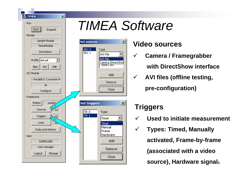

#### **Video sources**

- $\checkmark$  **Camera / Framegrabber with DirectShow interface**
- $\checkmark$  **AVI files (offline testing, pre-configuration)**

### **Triggers**

- $\checkmark$ **Used to initiate measurement**
- *4* **source), Hardware signal** $\checkmark$  **Types: Timed, Manually activated, Frame-by-frame (associated with a video**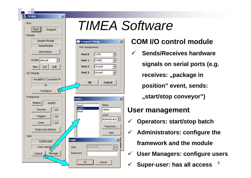

#### **COM I/O control module**

 $\checkmark$  **Sends/Receives hardware signals on serial ports (e.g. receives: "package in position" event, sends: "start/stop conveyor")**

#### **User management**

- $\checkmark$ **Operators: start/stop batch**
- $\checkmark$  **Administrators: configure the framework and the module**
- $\checkmark$ **User Managers: configure users**
- *5* $\checkmark$ **Super-user: has all access**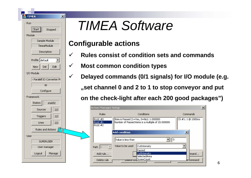| 晶 TIMEA                           | $\vert x \vert$ |  |  |  |
|-----------------------------------|-----------------|--|--|--|
| Run<br>Start<br>Stopped<br>Module |                 |  |  |  |
| Sample Module                     |                 |  |  |  |
| TimeaModule                       |                 |  |  |  |
|                                   |                 |  |  |  |
| Description                       |                 |  |  |  |
| Profile default                   |                 |  |  |  |
| Del<br>New-<br>Edit               |                 |  |  |  |
| I/O Module                        |                 |  |  |  |
| - Paralell IO Converter M         |                 |  |  |  |
| sp                                |                 |  |  |  |
| Configure                         |                 |  |  |  |
| Framework:                        |                 |  |  |  |
| <b>Station</b><br>sta002          |                 |  |  |  |
| Sources<br>2/2                    |                 |  |  |  |
| Triggers<br>2/2                   |                 |  |  |  |
| Lines<br>2/2                      |                 |  |  |  |
| Rules and Actions                 |                 |  |  |  |
| User                              |                 |  |  |  |
| <b>SUPERUSER</b>                  |                 |  |  |  |
| User manager                      |                 |  |  |  |
| Logout<br>Manage                  |                 |  |  |  |
|                                   |                 |  |  |  |

# *TIMEA Software*

#### **Configurable actions**

- **Rules consist of condition sets and commands**
- **Most common condition types**
	- **Delayed commands (0/1 signals) for I/O module (e.g. "set channel 0 and 2 to 1 to stop conveyor and put on the check-light after each 200 good packages")**

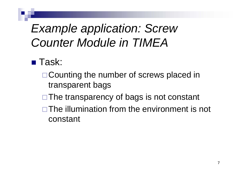## *Example application: Screw Counter Module in TIMEA*

- $\blacksquare$  Task:
	- □ Counting the number of screws placed in transparent bags
	- $\Box$  The transparency of bags is not constant
	- $\Box$  The illumination from the environment is not constant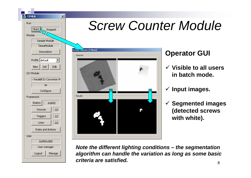



#### **Operator GUI**

- 9 **Visible to all users in batch mode.**
- 9 **Input images.**
- 9 **Segmented images (detected screws with white).**

*Note the different lighting conditions – the segmentation algorithm can handle the variation as long as some basic criteria are satisfied.*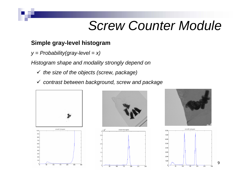#### **Simple gray-level histogram**

*y = Probability(gray-level = x)*

*Histogram shape and modality strongly depend on*

- 9 *the size of the objects (screw, package)*
- 9 *contrast between background, screw and package*











*9*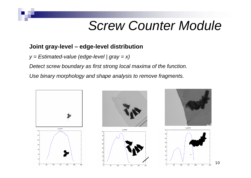#### **Joint gray-level – edge-level distribution**

*y = Estimated-value (edge-level | gray = x)*

*Detect screw boundary as first strong local maxima of the function.*

*Use binary morphology and shape analysis to remove fragments.*



*10*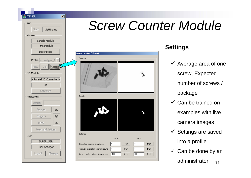

#### **Settings**

- $\checkmark$  Average area of one screw, Expected number of screws / package
- $\checkmark$  Can be trained on examples with live camera images
- $\checkmark$  Settings are saved into a profile
- *11* $\checkmark$  Can be done by an administrator